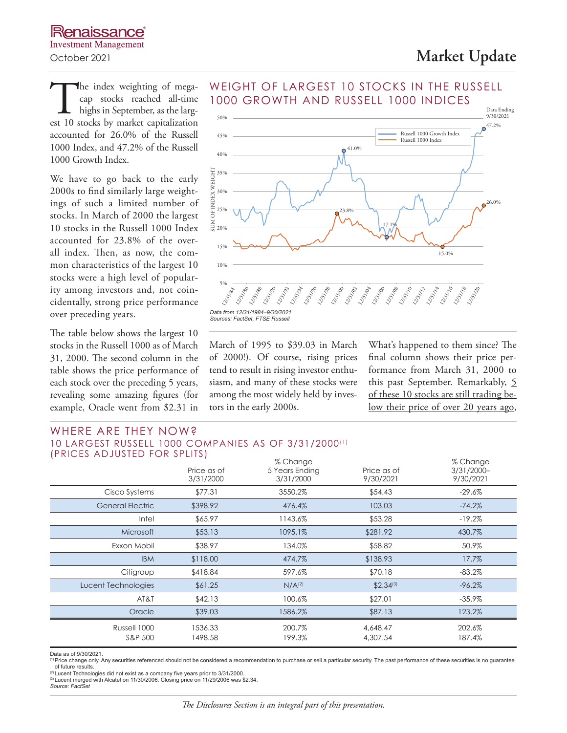The index weighting of megacap stocks reached all-time highs in September, as the largest 10 stocks by market capitalization cap stocks reached all-time highs in September, as the largaccounted for 26.0% of the Russell 1000 Index, and 47.2% of the Russell 1000 Growth Index.

We have to go back to the early 2000s to find similarly large weightings of such a limited number of stocks. In March of 2000 the largest 10 stocks in the Russell 1000 Index accounted for 23.8% of the overall index. Then, as now, the common characteristics of the largest 10 stocks were a high level of popularity among investors and, not coincidentally, strong price performance over preceding years.

The table below shows the largest 10 stocks in the Russell 1000 as of March 31, 2000. The second column in the table shows the price performance of each stock over the preceding 5 years, revealing some amazing figures (for example, Oracle went from \$2.31 in



March of 1995 to \$39.03 in March of 2000!). Of course, rising prices tend to result in rising investor enthusiasm, and many of these stocks were among the most widely held by investors in the early 2000s.

What's happened to them since? The final column shows their price performance from March 31, 2000 to this past September. Remarkably, 5 of these 10 stocks are still trading below their price of over 20 years ago,

### WHERE ARE THEY NOW? 10 LARGEST RUSSELL 1000 COMPANIES AS OF 3/31/2000(1) (PRICES ADJUSTED FOR SPLITS)

|                         | Price as of<br>3/31/2000 | % Change<br>5 Years Ending<br>3/31/2000 | Price as of<br>9/30/2021 | % Change<br>$3/31/2000 -$<br>9/30/2021 |
|-------------------------|--------------------------|-----------------------------------------|--------------------------|----------------------------------------|
| Cisco Systems           | \$77.31                  | 3550.2%                                 | \$54.43                  | $-29.6\%$                              |
| <b>General Electric</b> | \$398.92                 | 476.4%                                  | 103.03                   | $-74.2%$                               |
| Intel                   | \$65.97                  | 1143.6%                                 | \$53.28                  | $-19.2\%$                              |
| Microsoft               | \$53.13                  | 1095.1%                                 | \$281.92                 | 430.7%                                 |
| Exxon Mobil             | \$38.97                  | 134.0%                                  | \$58.82                  | 50.9%                                  |
| <b>IBM</b>              | \$118.00                 | 474.7%                                  | \$138.93                 | 17.7%                                  |
| Citigroup               | \$418.84                 | 597.6%                                  | \$70.18                  | $-83.2%$                               |
| Lucent Technologies     | \$61.25                  | N/A <sup>(2)</sup>                      | $$2.34^{(3)}$            | $-96.2%$                               |
| AT&T                    | \$42.13                  | 100.6%                                  | \$27.01                  | $-35.9%$                               |
| Oracle                  | \$39.03                  | 1586.2%                                 | \$87.13                  | 123.2%                                 |
| Russell 1000<br>S&P 500 | 1536.33<br>1498.58       | 200.7%<br>199.3%                        | 4,648.47<br>4,307.54     | 202.6%<br>187.4%                       |

Data as of 9/30/2021.

The change only. Any securities referenced should not be considered a recommendation to purchase or sell a particular security. The past performance of these securities is no guarantee<br>of future results. of future results.<br>‴Lucent Technologies did not exist as a company five years prior to 3/31/2000.<br>®Lucent merged with Alcatel on 11/30/2006. Closing price on 11/29/2006 was \$2.34.

*Source: FactSet*

1000 GROWTH AND RUSSELL 1000 INDICES

WEIGHT OF LARGEST 10 STOCKS IN THE RUSSELL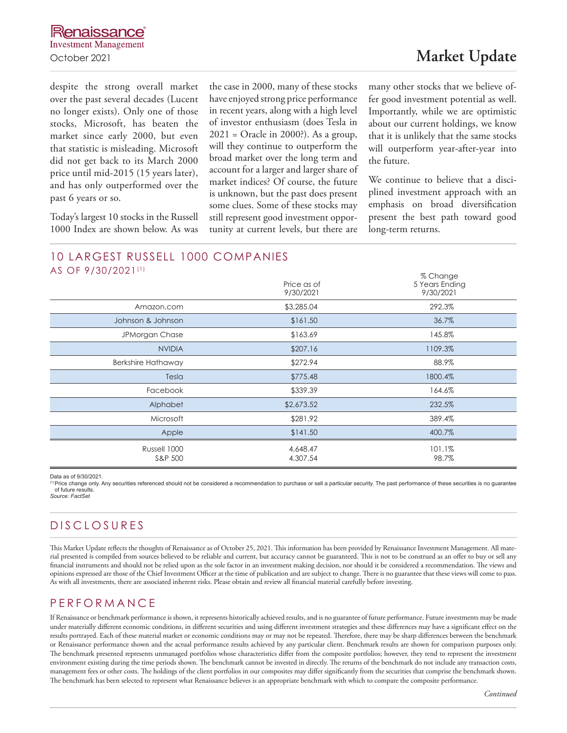despite the strong overall market over the past several decades (Lucent no longer exists). Only one of those stocks, Microsoft, has beaten the market since early 2000, but even that statistic is misleading. Microsoft did not get back to its March 2000 price until mid-2015 (15 years later), and has only outperformed over the past 6 years or so.

Today's largest 10 stocks in the Russell 1000 Index are shown below. As was the case in 2000, many of these stocks have enjoyed strong price performance in recent years, along with a high level of investor enthusiasm (does Tesla in 2021 = Oracle in 2000?). As a group, will they continue to outperform the broad market over the long term and account for a larger and larger share of market indices? Of course, the future is unknown, but the past does present some clues. Some of these stocks may still represent good investment opportunity at current levels, but there are

many other stocks that we believe offer good investment potential as well. Importantly, while we are optimistic about our current holdings, we know that it is unlikely that the same stocks will outperform year-after-year into the future.

We continue to believe that a disciplined investment approach with an emphasis on broad diversification present the best path toward good long-term returns.

## 10 LARGEST RUSSELL 1000 COMPANIES AS OF 9/30/2021(1)

| .                         | Price as of<br>9/30/2021 | % Change<br>5 Years Ending<br>9/30/2021 |
|---------------------------|--------------------------|-----------------------------------------|
| Amazon.com                | \$3,285.04               | 292.3%                                  |
| Johnson & Johnson         | \$161.50                 | 36.7%                                   |
| JPMorgan Chase            | \$163.69                 | 145.8%                                  |
| <b>NVIDIA</b>             | \$207.16                 | 1109.3%                                 |
| <b>Berkshire Hathaway</b> | \$272.94                 | 88.9%                                   |
| Tesla                     | \$775.48                 | 1800.4%                                 |
| Facebook                  | \$339.39                 | 164.6%                                  |
| Alphabet                  | \$2,673.52               | 232.5%                                  |
| Microsoft                 | \$281.92                 | 389.4%                                  |
| Apple                     | \$141.50                 | 400.7%                                  |
| Russell 1000<br>S&P 500   | 4,648.47<br>4,307.54     | 101.1%<br>98.7%                         |

Data as of 9/30/2021.

(1) Price change only. Any securities referenced should not be considered a recommendation to purchase or sell a particular security. The past performance of these securities is no guarantee of future results. *Source: FactSet*

# DISCLOSURES

This Market Update reflects the thoughts of Renaissance as of October 25, 2021. This information has been provided by Renaissance Investment Management. All material presented is compiled from sources believed to be reliable and current, but accuracy cannot be guaranteed. This is not to be construed as an offer to buy or sell any financial instruments and should not be relied upon as the sole factor in an investment making decision, nor should it be considered a recommendation. The views and opinions expressed are those of the Chief Investment Officer at the time of publication and are subject to change. There is no guarantee that these views will come to pass. As with all investments, there are associated inherent risks. Please obtain and review all financial material carefully before investing.

## PERFORMANCE

If Renaissance or benchmark performance is shown, it represents historically achieved results, and is no guarantee of future performance. Future investments may be made under materially different economic conditions, in different securities and using different investment strategies and these differences may have a significant effect on the results portrayed. Each of these material market or economic conditions may or may not be repeated. Therefore, there may be sharp differences between the benchmark or Renaissance performance shown and the actual performance results achieved by any particular client. Benchmark results are shown for comparison purposes only. The benchmark presented represents unmanaged portfolios whose characteristics differ from the composite portfolios; however, they tend to represent the investment environment existing during the time periods shown. The benchmark cannot be invested in directly. The returns of the benchmark do not include any transaction costs, management fees or other costs. The holdings of the client portfolios in our composites may differ significantly from the securities that comprise the benchmark shown. The benchmark has been selected to represent what Renaissance believes is an appropriate benchmark with which to compare the composite performance.